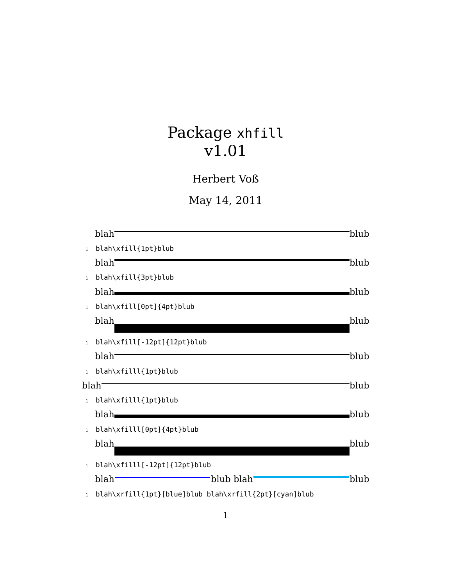## Package xhfill v1.01

Herbert Voß

May 14, 2011

|                   | blah <sup>-</sup>                                     | blub <sup>.</sup> |
|-------------------|-------------------------------------------------------|-------------------|
| $\mathbf{1}$      | blah\xfill{1pt}blub                                   |                   |
|                   | blah <sup>-</sup>                                     | blub              |
| $\mathbf{1}$      | blah\xfill{3pt}blub                                   |                   |
|                   | blah—                                                 | blub              |
| $\mathbf{1}$      | blah\xfill[0pt]{4pt}blub                              |                   |
|                   | blah                                                  | blub              |
| $\mathbf{1}$      | blah\xfill[-12pt]{12pt}blub                           |                   |
|                   | blah <sup>-</sup>                                     | blub              |
| $\mathbf{1}$      | blah\xfilll{1pt}blub                                  |                   |
| blah <sup>-</sup> |                                                       | blub              |
| $\mathbf{1}$      | blah\xfilll{1pt}blub                                  |                   |
|                   | blah.                                                 | blub              |
| $\mathbf{1}$      | blah\xfilll[0pt]{4pt}blub                             |                   |
|                   | blah                                                  | blub              |
| $\mathbf{1}$      | blah\xfilll[-12pt]{12pt}blub                          |                   |
|                   | blah <sup>-</sup><br>'blub blah'                      | 'blub             |
| $\mathbf{1}$      | blah\xrfill{1pt}[blue]blub blah\xrfill{2pt}[cyan]blub |                   |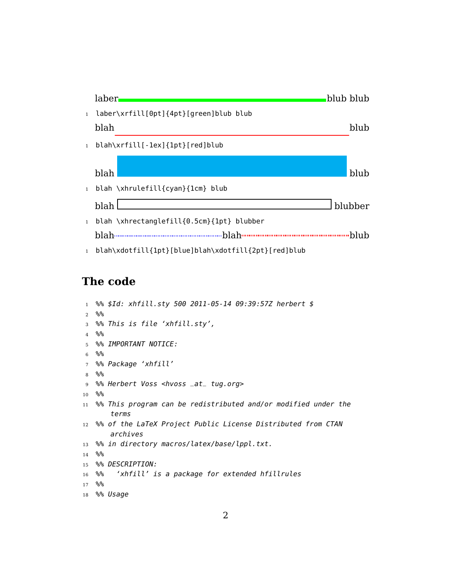

## **The code**

```
1 %% $Id: xhfill.sty 500 2011-05-14 09:39:57Z herbert $
2 %%
3 %% This is file 'xhfill.sty',
4 %%
5 %% IMPORTANT NOTICE:
6 %%
7 %% Package 'xhfill'
8 %%
9 %% Herbert Voss <hvoss _at_ tug.org>
10 %%
11 % This program can be redistributed and/or modified under the
      terms
12 % of the LaTeX Project Public License Distributed from CTAN
      archives
13 % in directory macros/latex/base/lppl.txt.
14 %%
15 %% DESCRIPTION:
16 %% 'xhfill' is a package for extended hfillrules
17 %%
18 %% Usage
```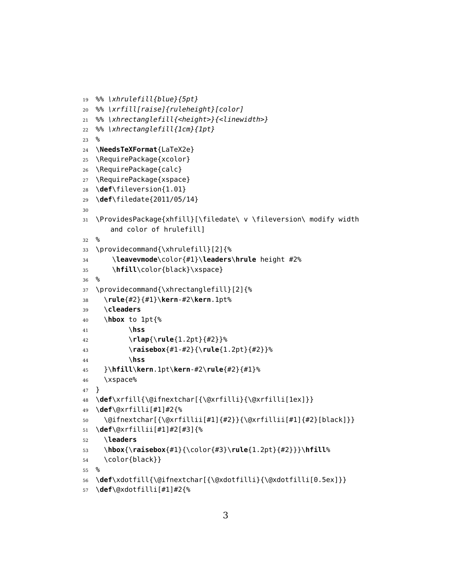```
19 %% \xhrulefill{blue}{5pt}
20 %% \xrfill[raise]{ruleheight}[color]
21 %% \xhrectanglefill{<height>}{<linewidth>}
22 %% \xhrectanglefill{1cm}{1pt}
23 %
24 \NeedsTeXFormat{LaTeX2e}
25 \RequirePackage{xcolor}
26 \RequirePackage{calc}
27 \RequirePackage{xspace}
28 \def\fileversion{1.01}
29 \def\filedate{2011/05/14}
30
31 \ProvidesPackage{xhfill}[\filedate\ v \fileversion\ modify width
      and color of hrulefill]
32 %
33 \providecommand{\xhrulefill}[2]{%
34 \leavevmode\color{#1}\leaders\hrule height #2%
35 \hfill\color{black}\xspace}
36 %
37 \providecommand{\xhrectanglefill}[2]{%
38 \rule{#2}{#1}\kern-#2\kern.1pt%
39 \cleaders
40 \hbox to 1pt{%
41 \hss
42 \rlap{\rule{1.2pt}{#2}}%
43 \raisebox{#1-#2}{\rule{1.2pt}{#2}}%
44 \hss
45 }\hfill\kern.1pt\kern-#2\rule{#2}{#1}%
46 \xspace%
47 }
48 \def\xrfill{\@ifnextchar[{\@xrfilli}{\@xrfilli[1ex]}}
49 \def\@xrfilli[#1]#2{%
50 \@ifnextchar[{\@xrfillii[#1]{#2}}{\@xrfillii[#1]{#2}[black]}}
51 \def\@xrfillii[#1]#2[#3]{%
52 \leaders
53 \hbox{\raisebox{#1}{\color{#3}\rule{1.2pt}{#2}}}\hfill%
54 \color{black}}
55 %
56 \def\xdotfill{\@ifnextchar[{\@xdotfilli}{\@xdotfilli[0.5ex]}}
```

```
57 \def\@xdotfilli[#1]#2{%
```